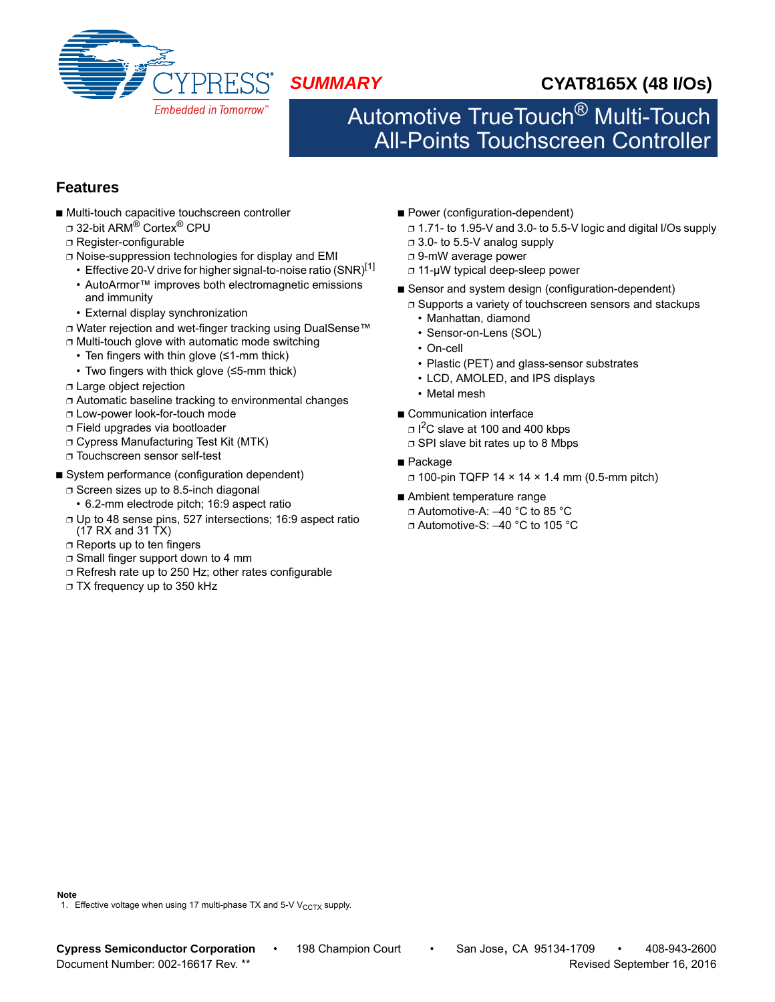

# *SUMMARY* **CYAT8165X (48 I/Os)**

# Automotive TrueTouch® Multi-Touch All-Points Touchscreen Controller

## **Features**

- Multi-touch capacitive touchscreen controller
	- □ 32-bit ARM<sup>®</sup> Cortex<sup>®</sup> CPU
	- ❐ Register-configurable
	- ❐ Noise-suppression technologies for display and EMI
		- Effective 20-V drive for higher signal-to-noise ratio (SNR) $^{[1]}$
		- AutoArmor™ improves both electromagnetic emissions and immunity
	- External display synchronization
	- ❐ Water rejection and wet-finger tracking using DualSense™
	- ❐ Multi-touch glove with automatic mode switching
		- Ten fingers with thin glove (≤1-mm thick)
	- Two fingers with thick glove (≤5-mm thick)
	- ❐ Large object rejection
	- ❐ Automatic baseline tracking to environmental changes
	- ❐ Low-power look-for-touch mode
	- ❐ Field upgrades via bootloader
	- ❐ Cypress Manufacturing Test Kit (MTK)
	- ❐ Touchscreen sensor self-test
- System performance (configuration dependent)
	- ❐ Screen sizes up to 8.5-inch diagonal
		- 6.2-mm electrode pitch; 16:9 aspect ratio
	- ❐ Up to 48 sense pins, 527 intersections; 16:9 aspect ratio  $(17$  RX and 31 TX)
	- ❐ Reports up to ten fingers
	- ❐ Small finger support down to 4 mm
	- ❐ Refresh rate up to 250 Hz; other rates configurable
	- ❐ TX frequency up to 350 kHz
- Power (configuration-dependent)
	- ❐ 1.71- to 1.95-V and 3.0- to 5.5-V logic and digital I/Os supply
	- ❐ 3.0- to 5.5-V analog supply
	- ❐ 9-mW average power
	- ❐ 11-μW typical deep-sleep power
- Sensor and system design (configuration-dependent)
	- ❐ Supports a variety of touchscreen sensors and stackups
	- Manhattan, diamond
	- Sensor-on-Lens (SOL)
	- On-cell
	- Plastic (PET) and glass-sensor substrates
	- LCD, AMOLED, and IPS displays
	- Metal mesh
- Communication interface

❐ I 2C slave at 100 and 400 kbps

- ❐ SPI slave bit rates up to 8 Mbps
- Package
- $\Box$  100-pin TQFP 14  $\times$  14  $\times$  1.4 mm (0.5-mm pitch)
- Ambient temperature range
- ❐ Automotive-A: –40 °C to 85 °C
- ❐ Automotive-S: –40 °C to 105 °C

### **Note**

1. Effective voltage when using 17 multi-phase TX and 5-V  $V_{CCTX}$  supply.

**Cypress Semiconductor Corporation** • 198 Champion Court • San Jose, CA 95134-1709 • 408-943-2600 Document Number: 002-16617 Rev. \*\* Revised September 16, 2016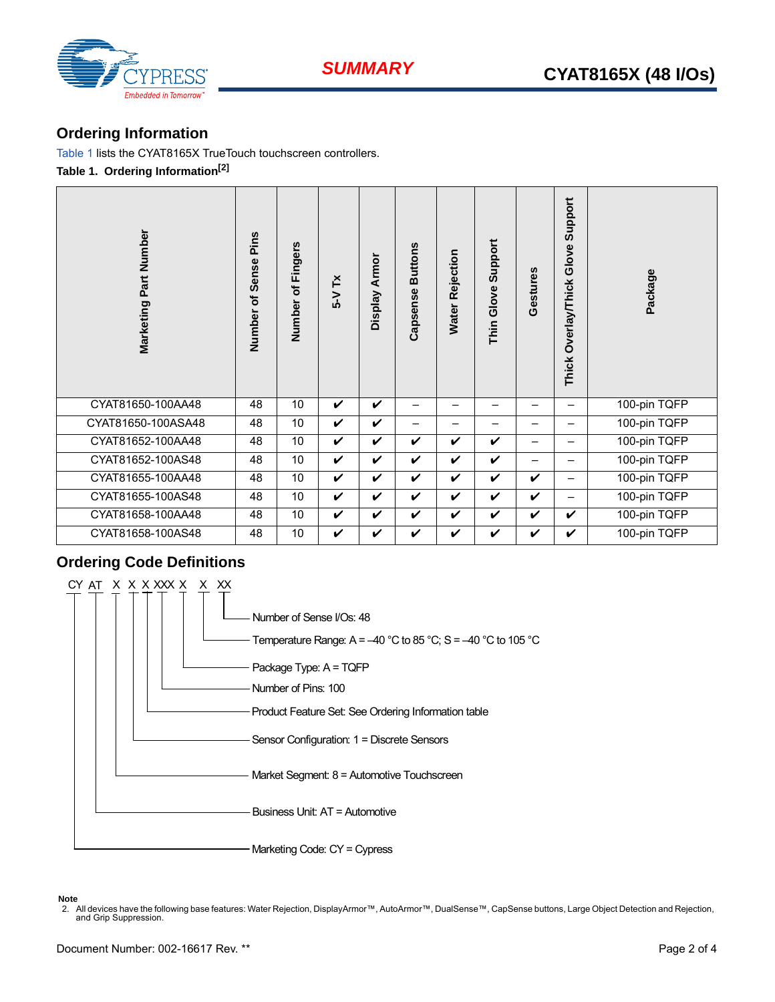



## **Ordering Information**

Table 1 lists the CYAT8165X TrueTouch touchscreen controllers. **Table 1. Ordering Information[2]**

| Marketing Part Number            | Number of Sense Pins | of Fingers<br>Number | $5-YTx$      | Display Armor | <b>Buttons</b><br>Capsense | Rejection<br>Water | Thin Glove Support       | Gestures                 | Support<br>Thick Overlay/Thick Glove | Package      |
|----------------------------------|----------------------|----------------------|--------------|---------------|----------------------------|--------------------|--------------------------|--------------------------|--------------------------------------|--------------|
| CYAT81650-100AA48                | 48                   | 10                   | $\checkmark$ | V             |                            | —                  | $\overline{\phantom{0}}$ | —                        | $\overline{\phantom{0}}$             | 100-pin TQFP |
| CYAT81650-100ASA48               | 48                   | 10                   | V            | V             | $\overline{\phantom{0}}$   | —                  | -                        | —                        | -                                    | 100-pin TQFP |
| CYAT81652-100AA48                | 48                   | 10                   | V            | V             | V                          | V                  | V                        | —                        |                                      | 100-pin TQFP |
| CYAT81652-100AS48                | 48                   | 10                   | $\checkmark$ | V             | $\boldsymbol{\mathcal{U}}$ | V                  | $\checkmark$             | $\overline{\phantom{0}}$ | $\overline{\phantom{0}}$             | 100-pin TQFP |
| CYAT81655-100AA48                | 48                   | $\overline{10}$      | $\checkmark$ | $\checkmark$  | $\checkmark$               | V                  | $\boldsymbol{\nu}$       | $\checkmark$             |                                      | 100-pin TQFP |
| CYAT81655-100AS48                | 48                   | 10                   | $\checkmark$ | V             | $\checkmark$               | $\boldsymbol{\nu}$ | $\checkmark$             | $\boldsymbol{\nu}$       | $\qquad \qquad -$                    | 100-pin TQFP |
| CYAT81658-100AA48                | 48                   | 10                   | V            | V             | V                          | V                  | V                        | $\checkmark$             | V                                    | 100-pin TQFP |
| CYAT81658-100AS48                | 48                   | 10                   | $\checkmark$ | V             | $\checkmark$               | V                  | $\checkmark$             | $\checkmark$             | V                                    | 100-pin TQFP |
| <b>Ordering Code Definitions</b> |                      |                      |              |               |                            |                    |                          |                          |                                      |              |



**Note**

2. All devices have the following base features: Water Rejection, DisplayArmor™, AutoArmor™, DualSense™, CapSense buttons, Large Object Detection and Rejection,<br>and Grip Suppression.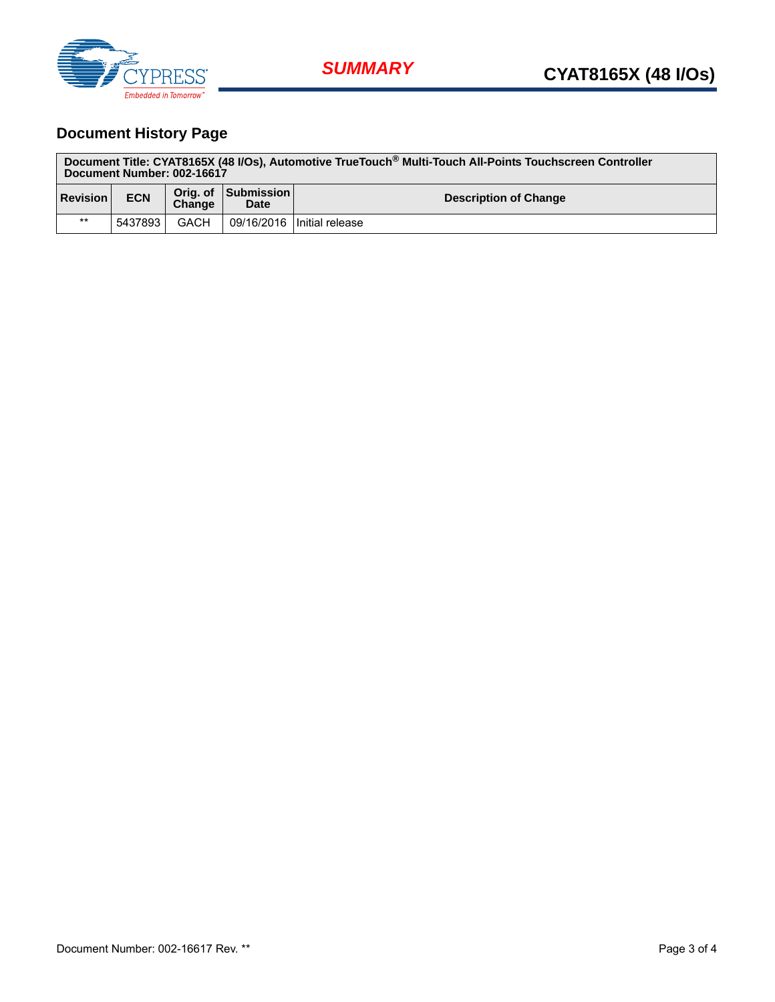

# **Document History Page**

| Document Title: CYAT8165X (48 I/Os), Automotive TrueTouch® Multi-Touch All-Points Touchscreen Controller<br>Document Number: 002-16617 |            |        |                                    |                              |  |  |  |
|----------------------------------------------------------------------------------------------------------------------------------------|------------|--------|------------------------------------|------------------------------|--|--|--|
| <b>Revision</b>                                                                                                                        | <b>ECN</b> | Change | Orig. of Submission<br><b>Date</b> | <b>Description of Change</b> |  |  |  |
| $***$                                                                                                                                  | 5437893    | GACH   |                                    | 09/16/2016 Initial release   |  |  |  |